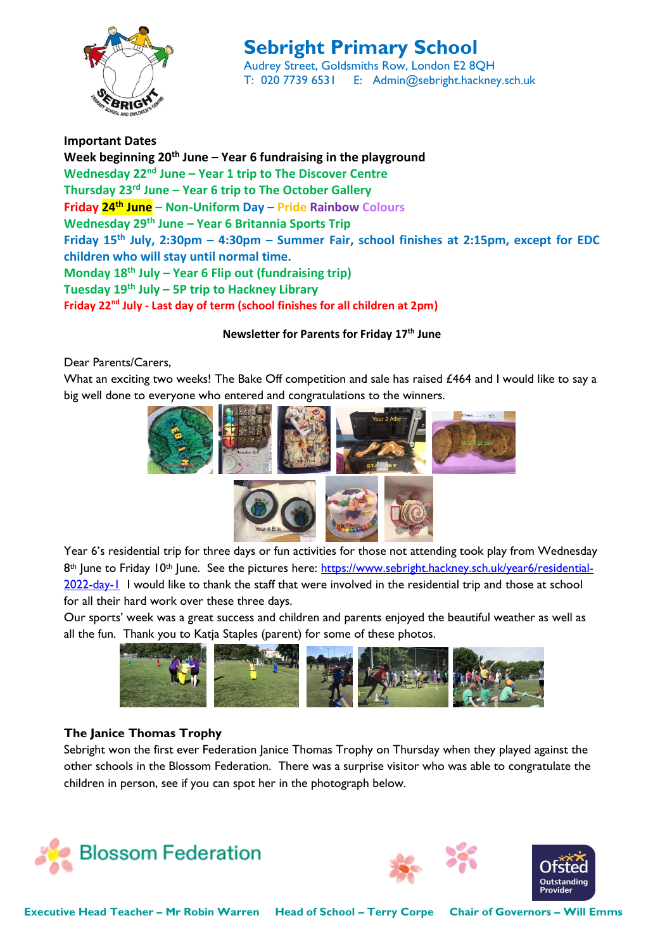

# **Sebright Primary School**

Audrey Street, Goldsmiths Row, London E2 8QH T: 020 7739 6531 E: Admin@sebright.hackney.sch.uk

**Important Dates Week beginning 20th June – Year 6 fundraising in the playground Wednesday 22nd June – Year 1 trip to The Discover Centre Thursday 23rd June – Year 6 trip to The October Gallery Friday 24th June – Non-Uniform Day – Pride Rainbow Colours Wednesday 29th June – Year 6 Britannia Sports Trip Friday 15th July, 2:30pm – 4:30pm – Summer Fair, school finishes at 2:15pm, except for EDC children who will stay until normal time. Monday 18th July – Year 6 Flip out (fundraising trip) Tuesday 19th July – 5P trip to Hackney Library Friday 22nd July - Last day of term (school finishes for all children at 2pm)**

**Newsletter for Parents for Friday 17th June**

Dear Parents/Carers,

What an exciting two weeks! The Bake Off competition and sale has raised £464 and I would like to say a big well done to everyone who entered and congratulations to the winners.



Year 6's residential trip for three days or fun activities for those not attending took play from Wednesday 8<sup>th</sup> June to Friday 10<sup>th</sup> June. See the pictures here: [https://www.sebright.hackney.sch.uk/year6/residential-](https://www.sebright.hackney.sch.uk/year6/residential-2022-day-1)[2022-day-1](https://www.sebright.hackney.sch.uk/year6/residential-2022-day-1) I would like to thank the staff that were involved in the residential trip and those at school for all their hard work over these three days.

Our sports' week was a great success and children and parents enjoyed the beautiful weather as well as all the fun. Thank you to Katja Staples (parent) for some of these photos.



## **The Janice Thomas Trophy**

Sebright won the first ever Federation Janice Thomas Trophy on Thursday when they played against the other schools in the Blossom Federation. There was a surprise visitor who was able to congratulate the children in person, see if you can spot her in the photograph below.





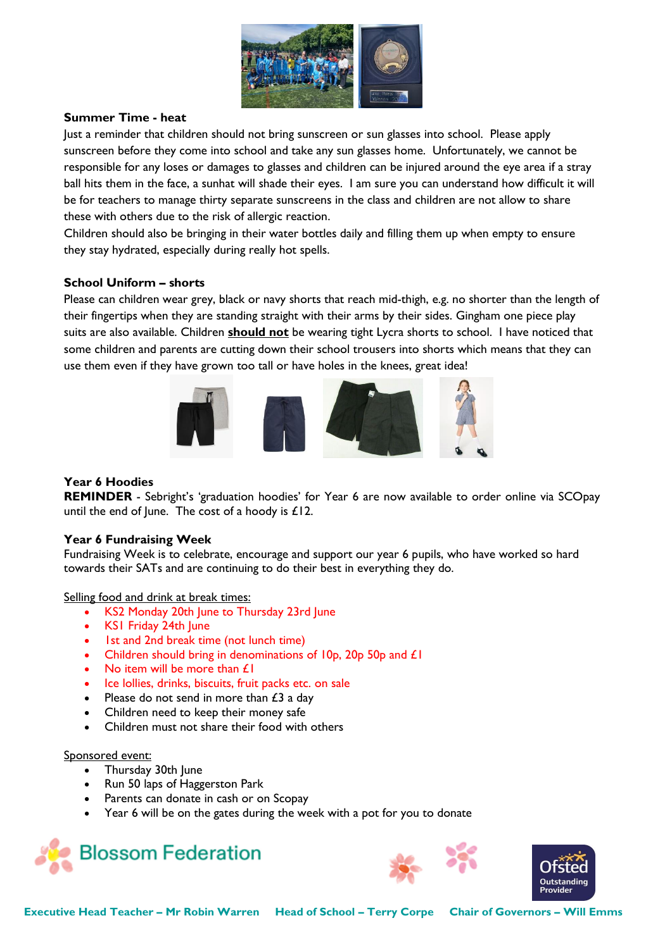

### **Summer Time - heat**

Just a reminder that children should not bring sunscreen or sun glasses into school. Please apply sunscreen before they come into school and take any sun glasses home. Unfortunately, we cannot be responsible for any loses or damages to glasses and children can be injured around the eye area if a stray ball hits them in the face, a sunhat will shade their eyes. I am sure you can understand how difficult it will be for teachers to manage thirty separate sunscreens in the class and children are not allow to share these with others due to the risk of allergic reaction.

Children should also be bringing in their water bottles daily and filling them up when empty to ensure they stay hydrated, especially during really hot spells.

#### **School Uniform – shorts**

Please can children wear grey, black or navy shorts that reach mid-thigh, e.g. no shorter than the length of their fingertips when they are standing straight with their arms by their sides. Gingham one piece play suits are also available. Children **should not** be wearing tight Lycra shorts to school. I have noticed that some children and parents are cutting down their school trousers into shorts which means that they can use them even if they have grown too tall or have holes in the knees, great idea!



#### **Year 6 Hoodies**

**REMINDER** - Sebright's 'graduation hoodies' for Year 6 are now available to order online via SCOpay until the end of June. The cost of a hoody is  $£12$ .

#### **Year 6 Fundraising Week**

Fundraising Week is to celebrate, encourage and support our year 6 pupils, who have worked so hard towards their SATs and are continuing to do their best in everything they do.

Selling food and drink at break times:

- KS2 Monday 20th June to Thursday 23rd June
- KS1 Friday 24th June
- 1st and 2nd break time (not lunch time)
- Children should bring in denominations of 10p, 20p 50p and £1
- No item will be more than £1
- Ice lollies, drinks, biscuits, fruit packs etc. on sale
- Please do not send in more than  $£3$  a day
- Children need to keep their money safe
- Children must not share their food with others

Sponsored event:

- Thursday 30th June
- Run 50 laps of Haggerston Park
- Parents can donate in cash or on Scopay
- Year 6 will be on the gates during the week with a pot for you to donate